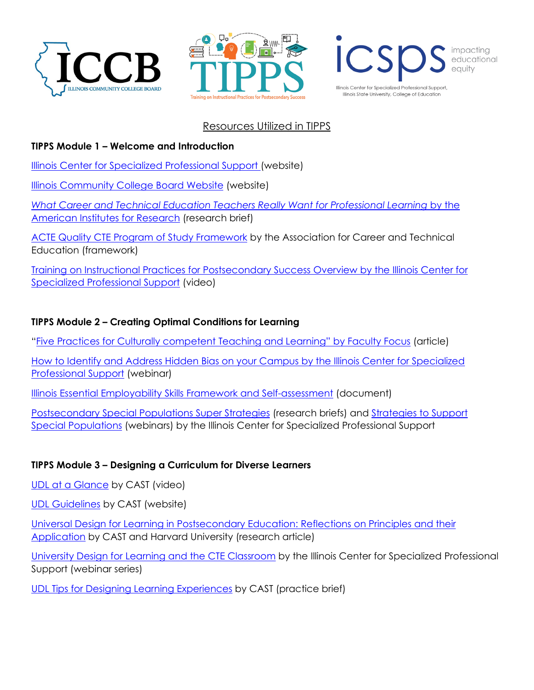





# Resources Utilized in TIPPS

## **TIPPS Module 1 – Welcome and Introduction**

[Illinois Center for Specialized Professional Support \(](https://icsps.illinoisstate.edu/)website)

[Illinois Community College Board Website](https://www.iccb.org/) (website)

*[What Career and Technical Education Teachers Really Want for Professional](https://www.air.org/sites/default/files/downloads/report/Career-Technical-Education-Teachers-Survey-Sept-2015.pdf) Learning* by the [American Institutes for Research](https://www.air.org/sites/default/files/downloads/report/Career-Technical-Education-Teachers-Survey-Sept-2015.pdf) (research brief)

[ACTE Quality CTE Program of Study Framework](https://www.acteonline.org/wp-content/uploads/2019/01/HighQualityCTEFramework2018.pdf) by the Association for Career and Technical Education (framework)

[Training on Instructional Practices for Postsecondary Success Overview by the Illinois Center for](https://youtu.be/kFbKvtqS5-g)  [Specialized Professional Support](https://youtu.be/kFbKvtqS5-g) (video)

#### **TIPPS Module 2 – Creating Optimal Conditions for Learning**

["Five Practices for Culturally competent Teaching and Learning"](https://www.facultyfocus.com/articles/teaching-and-learning/five-competencies-for-culturally-competent-teaching-and-learning/) by Faculty Focus (article)

How to Identify and Address Hidden Bias on your Campus by the Illinois Center for Specialized Professional Support (webinar)

[Illinois Essential Employability Skills Framework and Self-assessment](https://employabilityskills.org/wp-content/uploads/2020/03/Illinois-Essential-Handout.pdf) (document)

[Postsecondary Special Populations Super Strategies](https://icsps.illinoisstate.edu/cte/special-populations/76-super-strategies) (research briefs) and [Strategies to Support](https://icsps.illinoisstate.edu/cte/special-populations/2-home/60-special-populations-resources)  [Special Populations](https://icsps.illinoisstate.edu/cte/special-populations/2-home/60-special-populations-resources) (webinars) by the Illinois Center for Specialized Professional Support

## **TIPPS Module 3 – Designing a Curriculum for Diverse Learners**

[UDL at a Glance](https://www.bing.com/videos/search?q=cast+udl&&view=detail&mid=4EE66878FC1FEC2C72394EE66878FC1FEC2C7239&rvsmid=78D966F4D02B5654A52778D966F4D02B5654A527&FORM=VDQVAP) by CAST (video)

[UDL Guidelines](https://udlguidelines.cast.org/#:%7E:text=The%20UDL%20Guidelines%20are%20a%20tool%20used%20in,implement%20the%20UDL%20framework%20in%20a%20learning%20environment.) by CAST (website)

[Universal Design for Learning in Postsecondary Education: Reflections on Principles and their](https://files.eric.ed.gov/fulltext/EJ844630.pdf)  [Application](https://files.eric.ed.gov/fulltext/EJ844630.pdf) by CAST and Harvard University (research article)

[University Design for Learning and the CTE Classroom](https://icsps.illinoisstate.edu/cte/universal-design-learning/2-home/68-universal-design-learning-series) by the Illinois Center for Specialized Professional Support (webinar series)

[UDL Tips for Designing Learning Experiences](https://icsps.illinoisstate.edu/images/pdfs/CTE/Universal_Design_for_Learning/cast-udltipsfordesigninglearningexperiences-20200920-a11y.pdf) by CAST (practice brief)